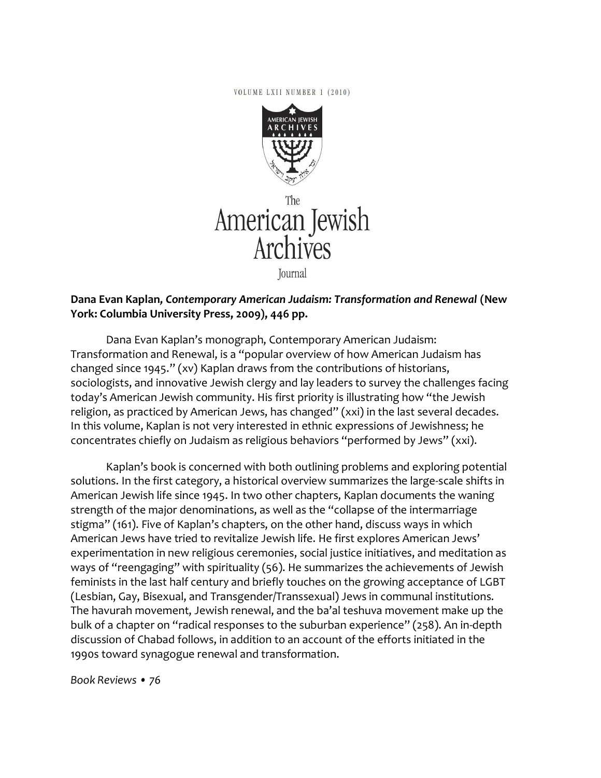VOLUME LXII NUMBER 1 (2010)



American Jewish Archives

Journal

## **Dana Evan Kaplan***, Contemporary American Judaism: Transformation and Renewal* **(New York: Columbia University Press, 2009), 446 pp.**

Dana Evan Kaplan's monograph, Contemporary American Judaism: Transformation and Renewal, is a "popular overview of how American Judaism has changed since 1945." (xv) Kaplan draws from the contributions of historians, sociologists, and innovative Jewish clergy and lay leaders to survey the challenges facing today's American Jewish community. His first priority is illustrating how "the Jewish religion, as practiced by American Jews, has changed" (xxi) in the last several decades. In this volume, Kaplan is not very interested in ethnic expressions of Jewishness; he concentrates chiefly on Judaism as religious behaviors "performed by Jews" (xxi).

Kaplan's book is concerned with both outlining problems and exploring potential solutions. In the first category, a historical overview summarizes the large-scale shifts in American Jewish life since 1945. In two other chapters, Kaplan documents the waning strength of the major denominations, as well as the "collapse of the intermarriage stigma" (161). Five of Kaplan's chapters, on the other hand, discuss ways in which American Jews have tried to revitalize Jewish life. He first explores American Jews' experimentation in new religious ceremonies, social justice initiatives, and meditation as ways of "reengaging" with spirituality (56). He summarizes the achievements of Jewish feminists in the last half century and briefly touches on the growing acceptance of LGBT (Lesbian, Gay, Bisexual, and Transgender/Transsexual) Jews in communal institutions. The havurah movement, Jewish renewal, and the ba'al teshuva movement make up the bulk of a chapter on "radical responses to the suburban experience" (258). An in-depth discussion of Chabad follows, in addition to an account of the efforts initiated in the 1990s toward synagogue renewal and transformation.

*Book Reviews • 76*